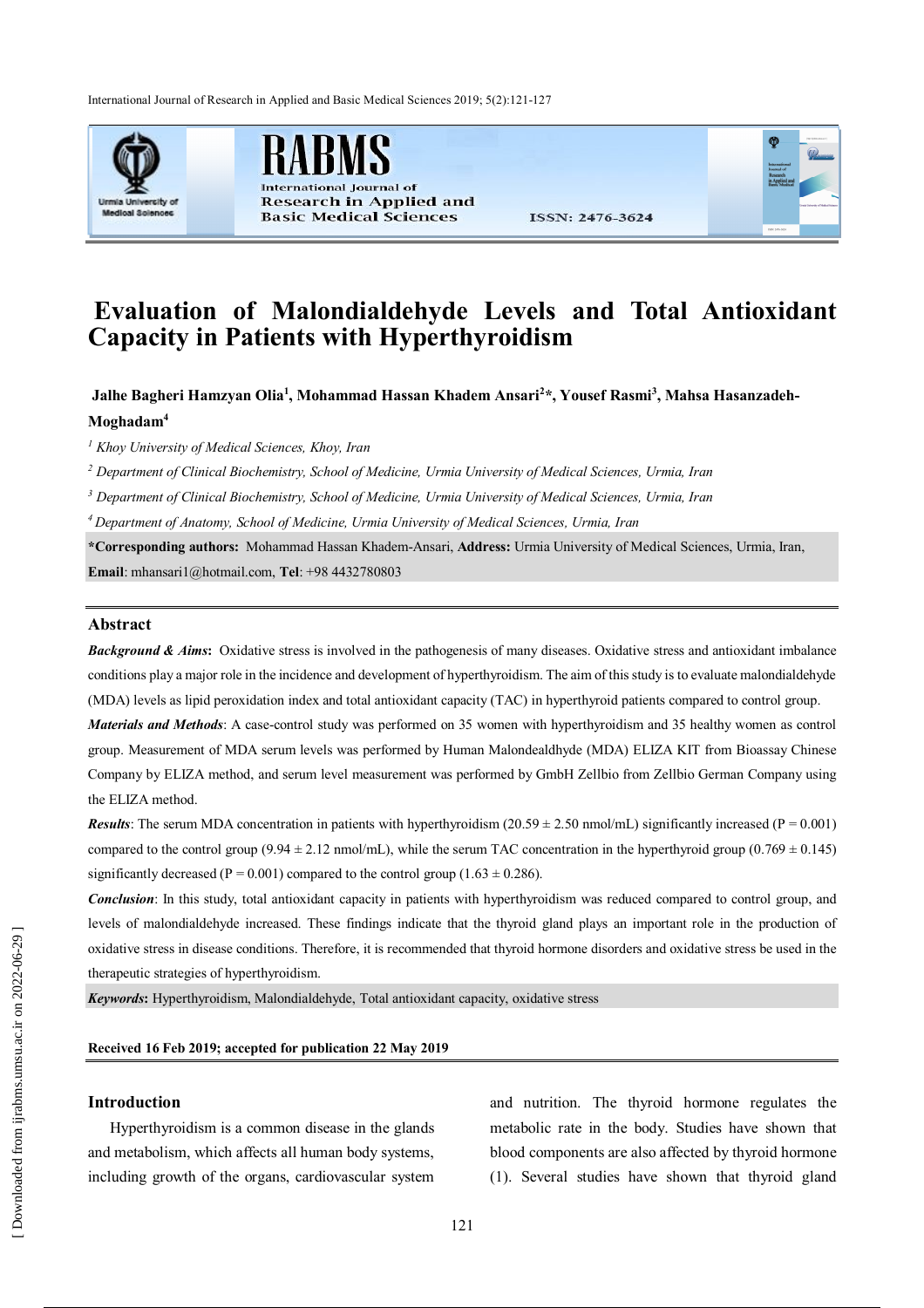International Journal of Research in Applied and Basic Medical Sciences 2019; 5(2):121-127



al Iournal of **Research in Applied and Basic Medical Sciences** 



# **Evaluation of Malondialdehyde Levels and Total Antioxidant Capacity in Patients with Hyperthyroidism**

**Jalhe Bagheri Hamzyan Olia<sup>1</sup> , Mohammad Hassan Khadem Ansari<sup>2</sup> \*, Yousef Rasmi<sup>3</sup> , Mahsa Hasanzadeh-**

#### **Moghadam<sup>4</sup>**

*<sup>1</sup> Khoy University of Medical Sciences, Khoy, Iran*

*<sup>2</sup> Department of Clinical Biochemistry, School of Medicine, Urmia University of Medical Sciences, Urmia, Iran*

*<sup>3</sup> Department of Clinical Biochemistry, School of Medicine, Urmia University of Medical Sciences, Urmia, Iran*

*<sup>4</sup>Department of Anatomy, School of Medicine, Urmia University of Medical Sciences, Urmia, Iran*

**\*Corresponding authors:** Mohammad Hassan Khadem-Ansari, **Address:** Urmia University of Medical Sciences, Urmia, Iran, **Email**: mhansari1@hotmail.com, **Tel**: +98 4432780803

### **Abstract**

**Background & Aims:** Oxidative stress is involved in the pathogenesis of many diseases. Oxidative stress and antioxidant imbalance conditions play a major role in the incidence and development of hyperthyroidism. The aim of this study is to evaluate malondialdehyde (MDA) levels as lipid peroxidation index and total antioxidant capacity (TAC) in hyperthyroid patients compared to control group.

*Materials and Methods*: A case-control study was performed on 35 women with hyperthyroidism and 35 healthy women as control group. Measurement of MDA serum levels was performed by Human Malondealdhyde (MDA) ELIZA KIT from Bioassay Chinese Company by ELIZA method, and serum level measurement was performed by GmbH Zellbio from Zellbio German Company using the ELIZA method.

*Results*: The serum MDA concentration in patients with hyperthyroidism  $(20.59 \pm 2.50 \text{ nmol/mL})$  significantly increased (P = 0.001) compared to the control group (9.94  $\pm$  2.12 nmol/mL), while the serum TAC concentration in the hyperthyroid group (0.769  $\pm$  0.145) significantly decreased (P = 0.001) compared to the control group (1.63  $\pm$  0.286).

*Conclusion*: In this study, total antioxidant capacity in patients with hyperthyroidism was reduced compared to control group, and levels of malondialdehyde increased. These findings indicate that the thyroid gland plays an important role in the production of oxidative stress in disease conditions. Therefore, it is recommended that thyroid hormone disorders and oxidative stress be used in the therapeutic strategies of hyperthyroidism.

*Keywords***:** Hyperthyroidism, Malondialdehyde, Total antioxidant capacity, oxidative stress

# **Received 16 Feb 2019; accepted for publication 22 May 2019**

## **Introduction**

Hyperthyroidism is a common disease in the glands and metabolism, which affects all human body systems, including growth of the organs, cardiovascular system

and nutrition. The thyroid hormone regulates the metabolic rate in the body. Studies have shown that blood components are also affected by thyroid hormone (1). Several studies have shown that thyroid gland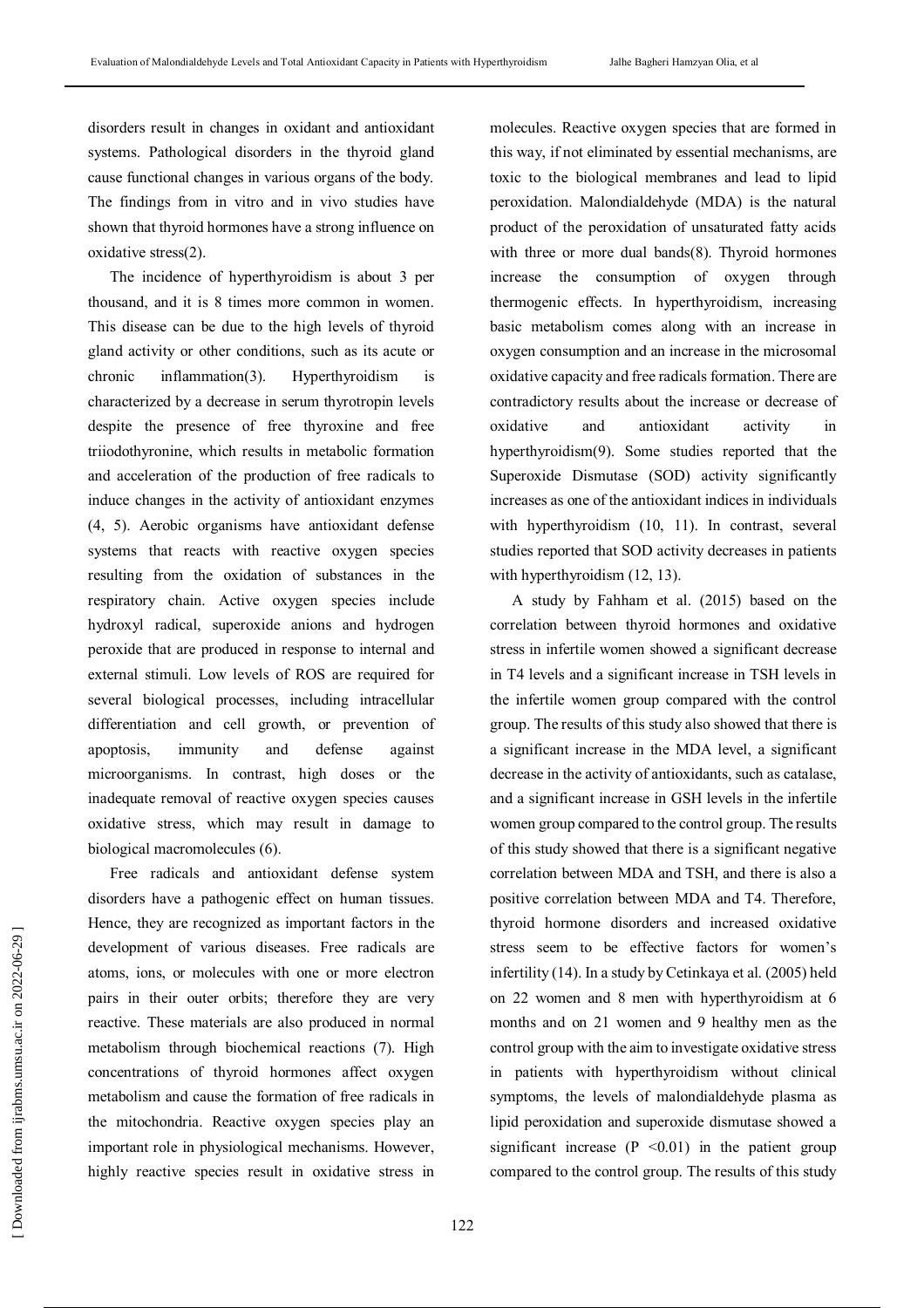disorders result in changes in oxidant and antioxidant systems. Pathological disorders in the thyroid gland cause functional changes in various organs of the body. The findings from in vitro and in vivo studies have shown that thyroid hormones have a strong influence on oxidative stress(2).

The incidence of hyperthyroidism is about 3 per thousand, and it is 8 times more common in women. This disease can be due to the high levels of thyroid gland activity or other conditions, such as its acute or chronic inflammation(3). Hyperthyroidism is characterized by a decrease in serum thyrotropin levels despite the presence of free thyroxine and free triiodothyronine, which results in metabolic formation and acceleration of the production of free radicals to induce changes in the activity of antioxidant enzymes (4, 5). Aerobic organisms have antioxidant defense systems that reacts with reactive oxygen species resulting from the oxidation of substances in the respiratory chain. Active oxygen species include hydroxyl radical, superoxide anions and hydrogen peroxide that are produced in response to internal and external stimuli. Low levels of ROS are required for several biological processes, including intracellular differentiation and cell growth, or prevention of apoptosis, immunity and defense against microorganisms. In contrast, high doses or the inadequate removal of reactive oxygen species causes oxidative stress, which may result in damage to biological macromolecules (6).

Free radicals and antioxidant defense system disorders have a pathogenic effect on human tissues. Hence, they are recognized as important factors in the development of various diseases. Free radicals are atoms, ions, or molecules with one or more electron pairs in their outer orbits; therefore they are very reactive. These materials are also produced in normal metabolism through biochemical reactions (7). High concentrations of thyroid hormones affect oxygen metabolism and cause the formation of free radicals in the mitochondria. Reactive oxygen species play an important role in physiological mechanisms. However, highly reactive species result in oxidative stress in

molecules. Reactive oxygen species that are formed in this way, if not eliminated by essential mechanisms, are toxic to the biological membranes and lead to lipid peroxidation. Malondialdehyde (MDA) is the natural product of the peroxidation of unsaturated fatty acids with three or more dual bands(8). Thyroid hormones increase the consumption of oxygen through thermogenic effects. In hyperthyroidism, increasing basic metabolism comes along with an increase in oxygen consumption and an increase in the microsomal oxidative capacity and free radicals formation. There are contradictory results about the increase or decrease of oxidative and antioxidant activity in hyperthyroidism(9). Some studies reported that the Superoxide Dismutase (SOD) activity significantly increases as one of the antioxidant indices in individuals with hyperthyroidism (10, 11). In contrast, several studies reported that SOD activity decreases in patients with hyperthyroidism  $(12, 13)$ .

A study by Fahham et al. (2015) based on the correlation between thyroid hormones and oxidative stress in infertile women showed a significant decrease in T4 levels and a significant increase in TSH levels in the infertile women group compared with the control group. The results of this study also showed that there is a significant increase in the MDA level, a significant decrease in the activity of antioxidants, such as catalase, and a significant increase in GSH levels in the infertile women group compared to the control group. The results of this study showed that there is a significant negative correlation between MDA and TSH, and there is also a positive correlation between MDA and T4. Therefore, thyroid hormone disorders and increased oxidative stress seem to be effective factors for women's infertility (14). In a study by Cetinkaya et al. (2005) held on 22 women and 8 men with hyperthyroidism at 6 months and on 21 women and 9 healthy men as the control group with the aim to investigate oxidative stress in patients with hyperthyroidism without clinical symptoms, the levels of malondialdehyde plasma as lipid peroxidation and superoxide dismutase showed a significant increase  $(P \le 0.01)$  in the patient group compared to the control group. The results of this study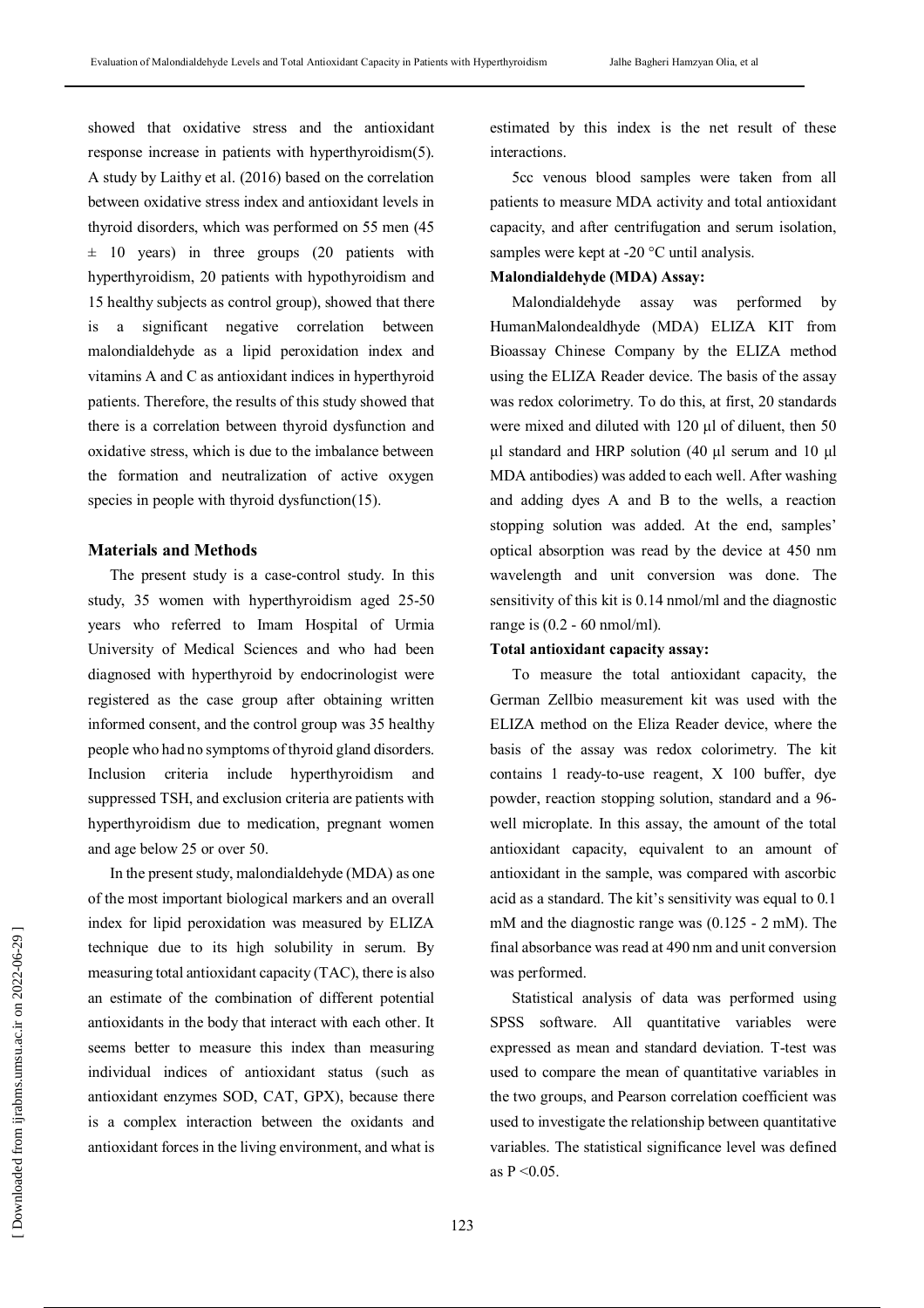showed that oxidative stress and the antioxidant response increase in patients with hyperthyroidism(5). A study by Laithy et al. (2016) based on the correlation between oxidative stress index and antioxidant levels in thyroid disorders, which was performed on 55 men (45  $\pm$  10 years) in three groups (20 patients with hyperthyroidism, 20 patients with hypothyroidism and 15 healthy subjects as control group), showed that there is a significant negative correlation between malondialdehyde as a lipid peroxidation index and vitamins A and C as antioxidant indices in hyperthyroid patients. Therefore, the results of this study showed that there is a correlation between thyroid dysfunction and oxidative stress, which is due to the imbalance between the formation and neutralization of active oxygen species in people with thyroid dysfunction(15).

#### **Materials and Methods**

The present study is a case-control study. In this study, 35 women with hyperthyroidism aged 25-50 years who referred to Imam Hospital of Urmia University of Medical Sciences and who had been diagnosed with hyperthyroid by endocrinologist were registered as the case group after obtaining written informed consent, and the control group was 35 healthy people who had no symptoms of thyroid gland disorders. Inclusion criteria include hyperthyroidism and suppressed TSH, and exclusion criteria are patients with hyperthyroidism due to medication, pregnant women and age below 25 or over 50.

In the present study, malondialdehyde (MDA) as one of the most important biological markers and an overall index for lipid peroxidation was measured by ELIZA technique due to its high solubility in serum. By measuring total antioxidant capacity (TAC), there is also an estimate of the combination of different potential antioxidants in the body that interact with each other. It seems better to measure this index than measuring individual indices of antioxidant status (such as antioxidant enzymes SOD, CAT, GPX), because there is a complex interaction between the oxidants and antioxidant forces in the living environment, and what is

estimated by this index is the net result of these interactions.

5cc venous blood samples were taken from all patients to measure MDA activity and total antioxidant capacity, and after centrifugation and serum isolation, samples were kept at -20 °C until analysis.

## **Malondialdehyde (MDA) Assay:**

Malondialdehyde assay was performed by HumanMalondealdhyde (MDA) ELIZA KIT from Bioassay Chinese Company by the ELIZA method using the ELIZA Reader device. The basis of the assay was redox colorimetry. To do this, at first, 20 standards were mixed and diluted with 120 μl of diluent, then 50 μl standard and HRP solution (40 μl serum and 10 μl MDA antibodies) was added to each well. After washing and adding dyes A and B to the wells, a reaction stopping solution was added. At the end, samples' optical absorption was read by the device at 450 nm wavelength and unit conversion was done. The sensitivity of this kit is 0.14 nmol/ml and the diagnostic range is (0.2 - 60 nmol/ml).

#### **Total antioxidant capacity assay:**

To measure the total antioxidant capacity, the German Zellbio measurement kit was used with the ELIZA method on the Eliza Reader device, where the basis of the assay was redox colorimetry. The kit contains 1 ready-to-use reagent, X 100 buffer, dye powder, reaction stopping solution, standard and a 96 well microplate. In this assay, the amount of the total antioxidant capacity, equivalent to an amount of antioxidant in the sample, was compared with ascorbic acid as a standard. The kit's sensitivity was equal to 0.1 mM and the diagnostic range was (0.125 - 2 mM). The final absorbance was read at 490 nm and unit conversion was performed.

Statistical analysis of data was performed using SPSS software. All quantitative variables were expressed as mean and standard deviation. T-test was used to compare the mean of quantitative variables in the two groups, and Pearson correlation coefficient was used to investigate the relationship between quantitative variables. The statistical significance level was defined as  $P < 0.05$ .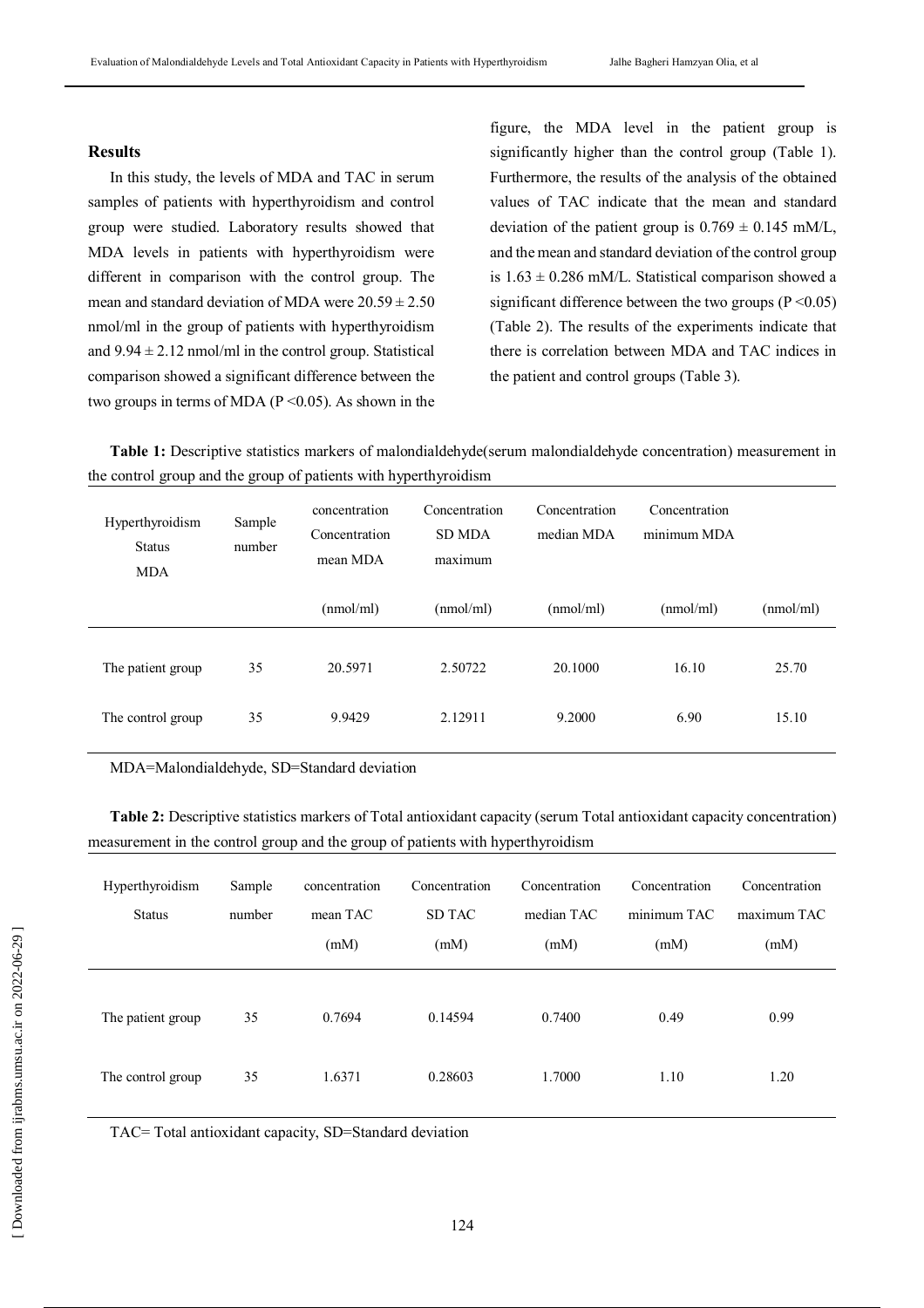#### **Results**

In this study, the levels of MDA and TAC in serum samples of patients with hyperthyroidism and control group were studied. Laboratory results showed that MDA levels in patients with hyperthyroidism were different in comparison with the control group. The mean and standard deviation of MDA were  $20.59 \pm 2.50$ nmol/ml in the group of patients with hyperthyroidism and  $9.94 \pm 2.12$  nmol/ml in the control group. Statistical comparison showed a significant difference between the two groups in terms of MDA ( $P \le 0.05$ ). As shown in the figure, the MDA level in the patient group is significantly higher than the control group (Table 1). Furthermore, the results of the analysis of the obtained values of TAC indicate that the mean and standard deviation of the patient group is  $0.769 \pm 0.145$  mM/L, and the mean and standard deviation of the control group is  $1.63 \pm 0.286$  mM/L. Statistical comparison showed a significant difference between the two groups ( $P \le 0.05$ ) (Table 2). The results of the experiments indicate that there is correlation between MDA and TAC indices in the patient and control groups (Table 3).

**Table 1:** Descriptive statistics markers of malondialdehyde(serum malondialdehyde concentration) measurement in the control group and the group of patients with hyperthyroidism

| Hyperthyroidism<br><b>Status</b><br><b>MDA</b> | Sample<br>number | concentration<br>Concentration<br>mean MDA | Concentration<br><b>SD MDA</b><br>maximum | Concentration<br>median MDA | Concentration<br>minimum MDA |           |
|------------------------------------------------|------------------|--------------------------------------------|-------------------------------------------|-----------------------------|------------------------------|-----------|
|                                                |                  | (mmol/ml)                                  | (mmol/ml)                                 | (mmol/ml)                   | (nmol/ml)                    | (mmol/ml) |
| The patient group                              | 35               | 20.5971                                    | 2.50722                                   | 20.1000                     | 16.10                        | 25.70     |
| The control group                              | 35               | 9.9429                                     | 2.12911                                   | 9.2000                      | 6.90                         | 15.10     |

MDA=Malondialdehyde, SD=Standard deviation

**Table 2:** Descriptive statistics markers of Total antioxidant capacity (serum Total antioxidant capacity concentration) measurement in the control group and the group of patients with hyperthyroidism

| Hyperthyroidism<br><b>Status</b> | Sample<br>number | concentration<br>mean TAC<br>(mM) | Concentration<br><b>SD TAC</b><br>(mM) | Concentration<br>median TAC<br>(mM) | Concentration<br>minimum TAC<br>(mM) | Concentration<br>maximum TAC<br>(mM) |
|----------------------------------|------------------|-----------------------------------|----------------------------------------|-------------------------------------|--------------------------------------|--------------------------------------|
| The patient group                | 35               | 0.7694                            | 0.14594                                | 0.7400                              | 0.49                                 | 0.99                                 |
| The control group                | 35               | 1.6371                            | 0.28603                                | 1.7000                              | 1.10                                 | 1.20                                 |

TAC= Total antioxidant capacity, SD=Standard deviation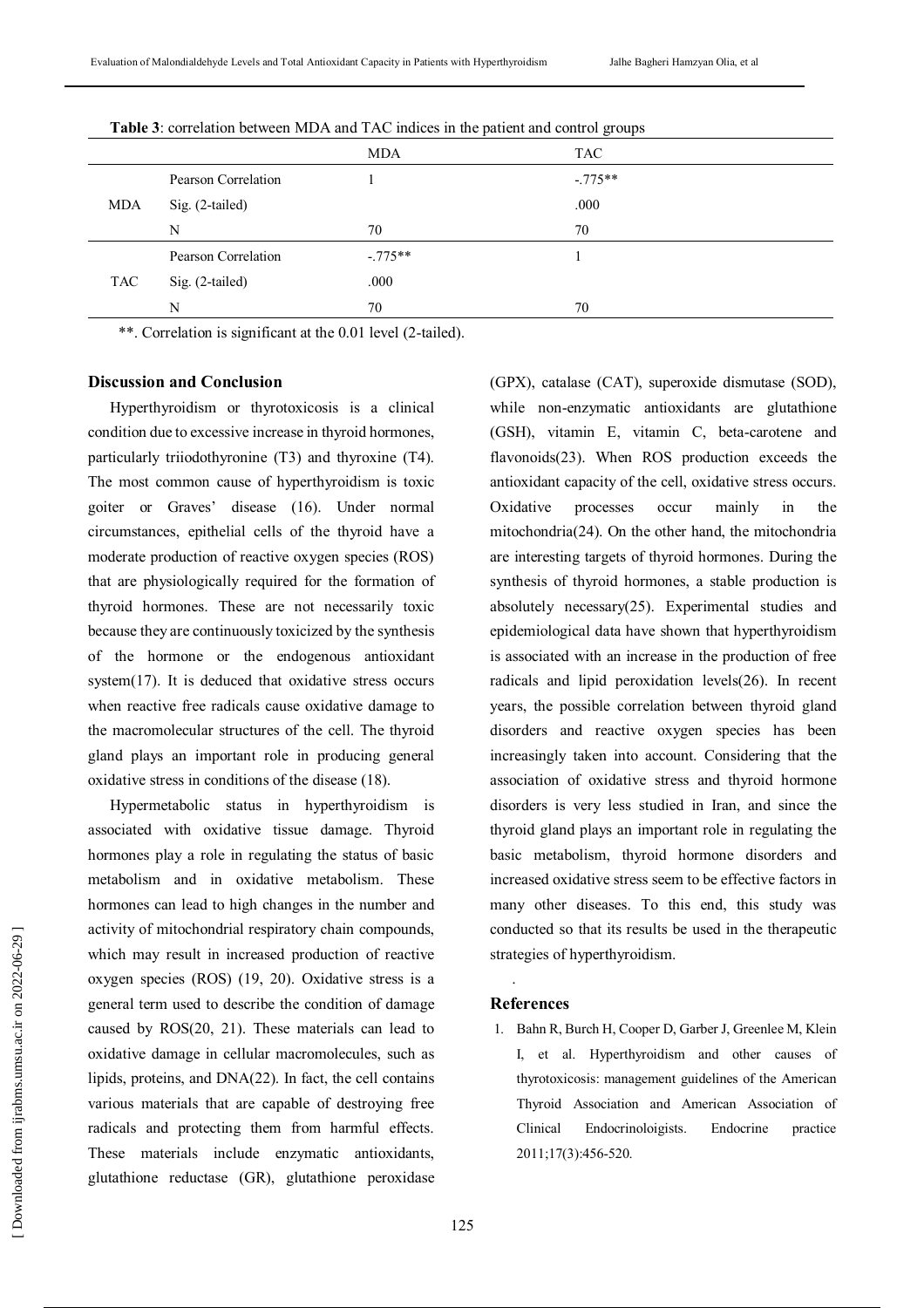|     |     |                     |            | $\tilde{\phantom{a}}$ |
|-----|-----|---------------------|------------|-----------------------|
|     |     |                     | <b>MDA</b> | <b>TAC</b>            |
|     |     | Pearson Correlation |            | $-.775**$             |
| MDA |     | Sig. (2-tailed)     |            | .000                  |
|     |     | N                   | 70         | 70                    |
|     |     | Pearson Correlation | $-.775**$  |                       |
|     | TAC | Sig. (2-tailed)     | .000       |                       |
|     |     | N                   | 70         | 70                    |
|     |     |                     |            |                       |

**Table 3**: correlation between MDA and TAC indices in the patient and control groups

\*\*. Correlation is significant at the 0.01 level (2-tailed).

## **Discussion and Conclusion**

Hyperthyroidism or thyrotoxicosis is a clinical condition due to excessive increase in thyroid hormones, particularly triiodothyronine (T3) and thyroxine (T4). The most common cause of hyperthyroidism is toxic goiter or Graves' disease (16). Under normal circumstances, epithelial cells of the thyroid have a moderate production of reactive oxygen species (ROS) that are physiologically required for the formation of thyroid hormones. These are not necessarily toxic because they are continuously toxicized by the synthesis of the hormone or the endogenous antioxidant system(17). It is deduced that oxidative stress occurs when reactive free radicals cause oxidative damage to the macromolecular structures of the cell. The thyroid gland plays an important role in producing general oxidative stress in conditions of the disease (18).

Hypermetabolic status in hyperthyroidism is associated with oxidative tissue damage. Thyroid hormones play a role in regulating the status of basic metabolism and in oxidative metabolism. These hormones can lead to high changes in the number and activity of mitochondrial respiratory chain compounds, which may result in increased production of reactive oxygen species (ROS) (19, 20). Oxidative stress is a general term used to describe the condition of damage caused by ROS(20, 21). These materials can lead to oxidative damage in cellular macromolecules, such as lipids, proteins, and DNA(22). In fact, the cell contains various materials that are capable of destroying free radicals and protecting them from harmful effects. These materials include enzymatic antioxidants, glutathione reductase (GR), glutathione peroxidase

(GPX), catalase (CAT), superoxide dismutase (SOD), while non-enzymatic antioxidants are glutathione (GSH), vitamin E, vitamin C, beta-carotene and flavonoids(23). When ROS production exceeds the antioxidant capacity of the cell, oxidative stress occurs. Oxidative processes occur mainly in the mitochondria(24). On the other hand, the mitochondria are interesting targets of thyroid hormones. During the synthesis of thyroid hormones, a stable production is absolutely necessary(25). Experimental studies and epidemiological data have shown that hyperthyroidism is associated with an increase in the production of free radicals and lipid peroxidation levels(26). In recent years, the possible correlation between thyroid gland disorders and reactive oxygen species has been increasingly taken into account. Considering that the association of oxidative stress and thyroid hormone disorders is very less studied in Iran, and since the thyroid gland plays an important role in regulating the basic metabolism, thyroid hormone disorders and increased oxidative stress seem to be effective factors in many other diseases. To this end, this study was conducted so that its results be used in the therapeutic strategies of hyperthyroidism.

#### **References**

.

1. Bahn R, Burch H, Cooper D, Garber J, Greenlee M, Klein I, et al. Hyperthyroidism and other causes of thyrotoxicosis: management guidelines of the American Thyroid Association and American Association of Clinical Endocrinoloigists. Endocrine practice 2011;17(3):456-520.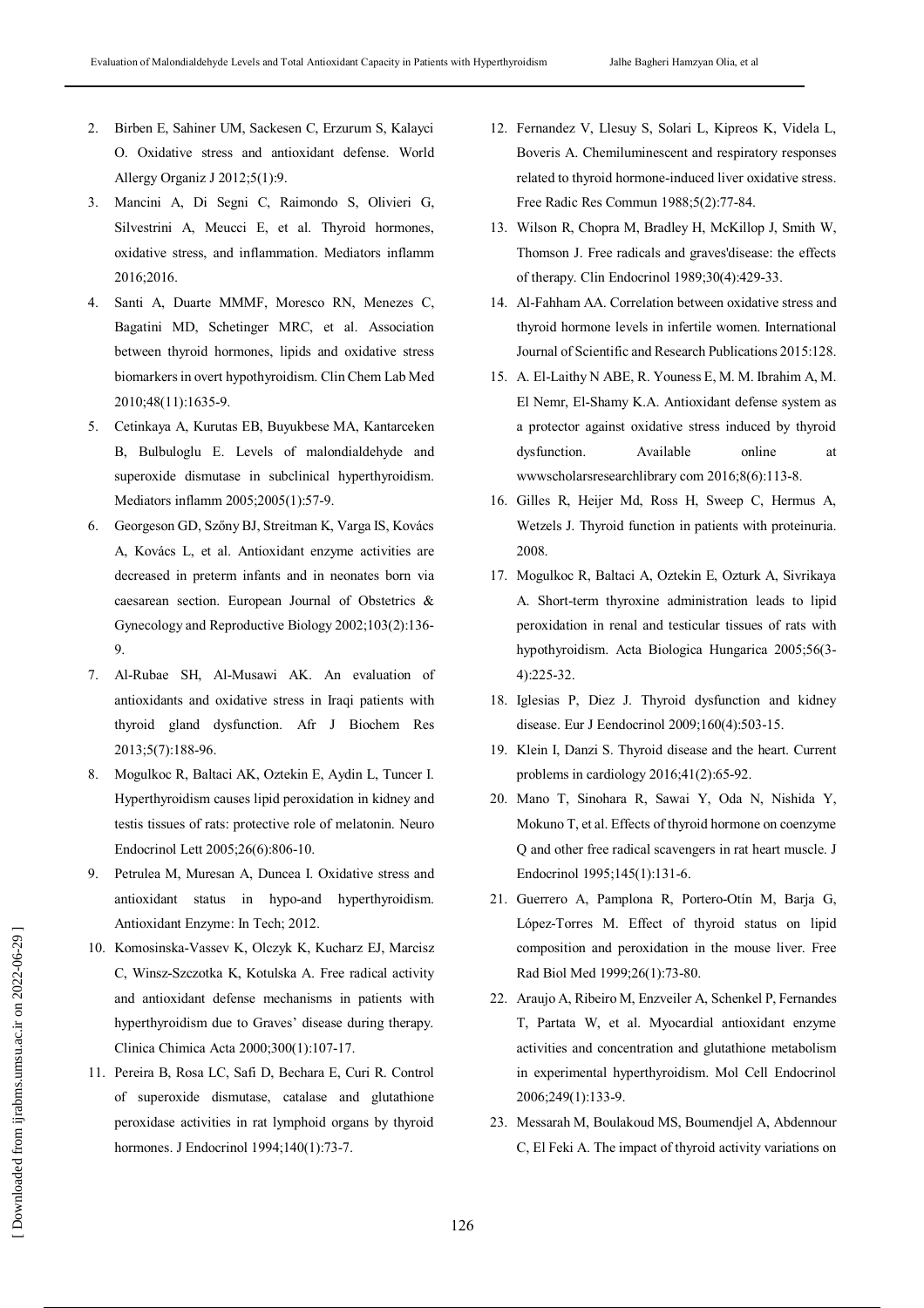- 2. Birben E, Sahiner UM, Sackesen C, Erzurum S, Kalayci O. Oxidative stress and antioxidant defense. World Allergy Organiz J 2012;5(1):9.
- 3. Mancini A, Di Segni C, Raimondo S, Olivieri G, Silvestrini A, Meucci E, et al. Thyroid hormones, oxidative stress, and inflammation. Mediators inflamm 2016;2016.
- 4. Santi A, Duarte MMMF, Moresco RN, Menezes C, Bagatini MD, Schetinger MRC, et al. Association between thyroid hormones, lipids and oxidative stress biomarkers in overt hypothyroidism. Clin Chem Lab Med 2010;48(11):1635-9.
- 5. Cetinkaya A, Kurutas EB, Buyukbese MA, Kantarceken B, Bulbuloglu E. Levels of malondialdehyde and superoxide dismutase in subclinical hyperthyroidism. Mediators inflamm 2005;2005(1):57-9.
- 6. Georgeson GD, Szőny BJ, Streitman K, Varga IS, Kovács A, Kovács L, et al. Antioxidant enzyme activities are decreased in preterm infants and in neonates born via caesarean section. European Journal of Obstetrics & Gynecology and Reproductive Biology 2002;103(2):136- 9.
- 7. Al-Rubae SH, Al-Musawi AK. An evaluation of antioxidants and oxidative stress in Iraqi patients with thyroid gland dysfunction. Afr J Biochem Res 2013;5(7):188-96.
- 8. Mogulkoc R, Baltaci AK, Oztekin E, Aydin L, Tuncer I. Hyperthyroidism causes lipid peroxidation in kidney and testis tissues of rats: protective role of melatonin. Neuro Endocrinol Lett 2005;26(6):806-10.
- 9. Petrulea M, Muresan A, Duncea I. Oxidative stress and antioxidant status in hypo-and hyperthyroidism. Antioxidant Enzyme: In Tech; 2012.
- 10. Komosinska-Vassev K, Olczyk K, Kucharz EJ, Marcisz C, Winsz-Szczotka K, Kotulska A. Free radical activity and antioxidant defense mechanisms in patients with hyperthyroidism due to Graves' disease during therapy. Clinica Chimica Acta 2000;300(1):107-17.
- 11. Pereira B, Rosa LC, Safi D, Bechara E, Curi R. Control of superoxide dismutase, catalase and glutathione peroxidase activities in rat lymphoid organs by thyroid hormones. J Endocrinol 1994;140(1):73-7.
- 12. Fernandez V, Llesuy S, Solari L, Kipreos K, Videla L, Boveris A. Chemiluminescent and respiratory responses related to thyroid hormone-induced liver oxidative stress. Free Radic Res Commun 1988;5(2):77-84.
- 13. Wilson R, Chopra M, Bradley H, McKillop J, Smith W, Thomson J. Free radicals and graves'disease: the effects of therapy. Clin Endocrinol 1989;30(4):429-33.
- 14. Al-Fahham AA. Correlation between oxidative stress and thyroid hormone levels in infertile women. International Journal of Scientific and Research Publications 2015:128.
- 15. A. El-Laithy N ABE, R. Youness E, M. M. Ibrahim A, M. El Nemr, El-Shamy K.A. Antioxidant defense system as a protector against oxidative stress induced by thyroid dysfunction. Available online at wwwscholarsresearchlibrary com 2016;8(6):113-8.
- 16. Gilles R, Heijer Md, Ross H, Sweep C, Hermus A, Wetzels J. Thyroid function in patients with proteinuria. 2008.
- 17. Mogulkoc R, Baltaci A, Oztekin E, Ozturk A, Sivrikaya A. Short-term thyroxine administration leads to lipid peroxidation in renal and testicular tissues of rats with hypothyroidism. Acta Biologica Hungarica 2005;56(3- 4):225-32.
- 18. Iglesias P, Diez J. Thyroid dysfunction and kidney disease. Eur J Eendocrinol 2009;160(4):503-15.
- 19. Klein I, Danzi S. Thyroid disease and the heart. Current problems in cardiology 2016;41(2):65-92.
- 20. Mano T, Sinohara R, Sawai Y, Oda N, Nishida Y, Mokuno T, et al. Effects of thyroid hormone on coenzyme Q and other free radical scavengers in rat heart muscle. J Endocrinol 1995;145(1):131-6.
- 21. Guerrero A, Pamplona R, Portero-Otín M, Barja G, López-Torres M. Effect of thyroid status on lipid composition and peroxidation in the mouse liver. Free Rad Biol Med 1999;26(1):73-80.
- 22. Araujo A, Ribeiro M, Enzveiler A, Schenkel P, Fernandes T, Partata W, et al. Myocardial antioxidant enzyme activities and concentration and glutathione metabolism in experimental hyperthyroidism. Mol Cell Endocrinol 2006;249(1):133-9.
- 23. Messarah M, Boulakoud MS, Boumendjel A, Abdennour C, El Feki A. The impact of thyroid activity variations on